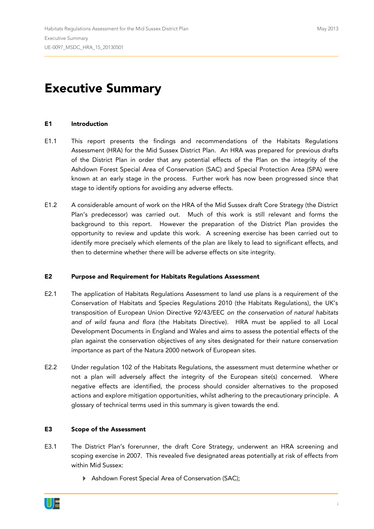# **Executive Summary**

### **E1 Introduction**

- E1.1 This report presents the findings and recommendations of the Habitats Regulations Assessment (HRA) for the Mid Sussex District Plan. An HRA was prepared for previous drafts of the District Plan in order that any potential effects of the Plan on the integrity of the Ashdown Forest Special Area of Conservation (SAC) and Special Protection Area (SPA) were known at an early stage in the process. Further work has now been progressed since that stage to identify options for avoiding any adverse effects.
- E1.2 A considerable amount of work on the HRA of the Mid Sussex draft Core Strategy (the District Plan's predecessor) was carried out. Much of this work is still relevant and forms the background to this report. However the preparation of the District Plan provides the opportunity to review and update this work. A screening exercise has been carried out to identify more precisely which elements of the plan are likely to lead to significant effects, and then to determine whether there will be adverse effects on site integrity.

#### **E2 Purpose and Requirement for Habitats Regulations Assessment**

- E2.1 The application of Habitats Regulations Assessment to land use plans is a requirement of the Conservation of Habitats and Species Regulations 2010 (the Habitats Regulations), the UK's transposition of European Union Directive 92/43/EEC *on the conservation of natural habitats and of wild fauna and flora* (the Habitats Directive). HRA must be applied to all Local Development Documents in England and Wales and aims to assess the potential effects of the plan against the conservation objectives of any sites designated for their nature conservation importance as part of the Natura 2000 network of European sites.
- E2.2 Under regulation 102 of the Habitats Regulations, the assessment must determine whether or not a plan will adversely affect the integrity of the European site(s) concerned. Where negative effects are identified, the process should consider alternatives to the proposed actions and explore mitigation opportunities, whilst adhering to the precautionary principle. A glossary of technical terms used in this summary is given towards the end.

### **E3 Scope of the Assessment**

- E3.1 The District Plan's forerunner, the draft Core Strategy, underwent an HRA screening and scoping exercise in 2007. This revealed five designated areas potentially at risk of effects from within Mid Sussex:
	- Ashdown Forest Special Area of Conservation (SAC);

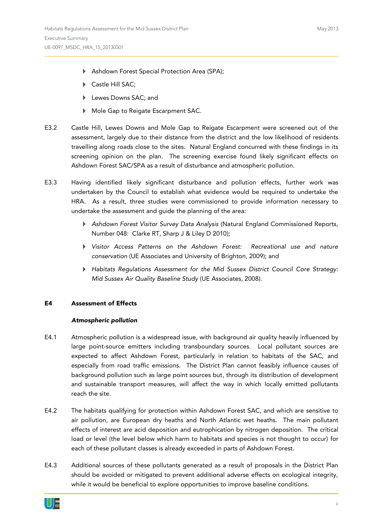- Ashdown Forest Special Protection Area (SPA);
- ▶ Castle Hill SAC;
- Lewes Downs SAC; and
- Mole Gap to Reigate Escarpment SAC.
- E3.2 Castle Hill, Lewes Downs and Mole Gap to Reigate Escarpment were screened out of the assessment, largely due to their distance from the district and the low likelihood of residents travelling along roads close to the sites. Natural England concurred with these findings in its screening opinion on the plan. The screening exercise found likely significant effects on Ashdown Forest SAC/SPA as a result of disturbance and atmospheric pollution.
- E3.3 Having identified likely significant disturbance and pollution effects, further work was undertaken by the Council to establish what evidence would be required to undertake the HRA. As a result, three studies were commissioned to provide information necessary to undertake the assessment and guide the planning of the area:
	- *Ashdown Forest Visitor Survey Data Analysis* (Natural England Commissioned Reports, Number 048: Clarke RT, Sharp J & Liley D 2010);
	- *Visitor Access Patterns on the Ashdown Forest: Recreational use and nature conservation* (UE Associates and University of Brighton, 2009); and
	- *Habitats Regulations Assessment for the Mid Sussex District Council Core Strategy: Mid Sussex Air Quality Baseline Study* (UE Associates, 2008).

### **E4 Assessment of Effects**

### *Atmospheric pollution*

- E4.1 Atmospheric pollution is a widespread issue, with background air quality heavily influenced by large point-source emitters including transboundary sources. Local pollutant sources are expected to affect Ashdown Forest, particularly in relation to habitats of the SAC, and especially from road traffic emissions. The District Plan cannot feasibly influence causes of background pollution such as large point sources but, through its distribution of development and sustainable transport measures, will affect the way in which locally emitted pollutants reach the site.
- E4.2 The habitats qualifying for protection within Ashdown Forest SAC, and which are sensitive to air pollution, are European dry heaths and North Atlantic wet heaths. The main pollutant effects of interest are acid deposition and eutrophication by nitrogen deposition. The critical load or level (the level below which harm to habitats and species is not thought to occur) for each of these pollutant classes is already exceeded in parts of Ashdown Forest.
- E4.3 Additional sources of these pollutants generated as a result of proposals in the District Plan should be avoided or mitigated to prevent additional adverse effects on ecological integrity, while it would be beneficial to explore opportunities to improve baseline conditions.

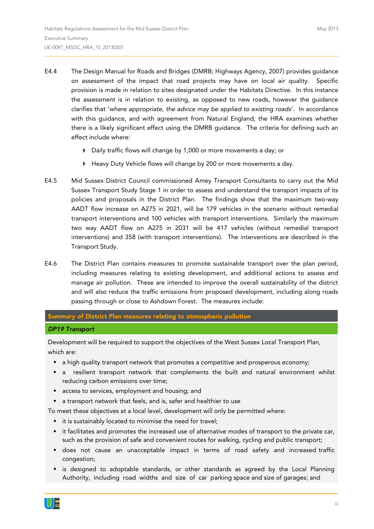- E4.4 The Design Manual for Roads and Bridges (DMRB; Highways Agency, 2007) provides guidance on assessment of the impact that road projects may have on local air quality. Specific provision is made in relation to sites designated under the Habitats Directive. In this instance the assessment is in relation to existing, as opposed to new roads, however the guidance clarifies that '*where appropriate, the advice may be applied to existing roads*'. In accordance with this guidance, and with agreement from Natural England, the HRA examines whether there is a likely significant effect using the DMRB guidance. The criteria for defining such an effect include where:
	- Daily traffic flows will change by 1,000 or more movements a day; or
	- Heavy Duty Vehicle flows will change by 200 or more movements a day.
- E4.5 Mid Sussex District Council commissioned Amey Transport Consultants to carry out the Mid Sussex Transport Study Stage 1 in order to assess and understand the transport impacts of its policies and proposals in the District Plan. The findings show that the maximum two-way AADT flow increase on A275 in 2021, will be 179 vehicles in the scenario without remedial transport interventions and 100 vehicles with transport interventions. Similarly the maximum two way AADT flow on A275 in 2031 will be 417 vehicles (without remedial transport interventions) and 358 (with transport interventions). The interventions are described in the Transport Study.
- E4.6 The District Plan contains measures to promote sustainable transport over the plan period, including measures relating to existing development, and additional actions to assess and manage air pollution. These are intended to improve the overall sustainability of the district and will also reduce the traffic emissions from proposed development, including along roads passing through or close to Ashdown Forest. The measures include:

**Summary of District Plan measures relating to atmospheric pollution**

#### *DP19 Transport*

Development will be required to support the objectives of the West Sussex Local Transport Plan, which are:

- a high quality transport network that promotes a competitive and prosperous economy;
- a resilient transport network that complements the built and natural environment whilst reducing carbon emissions over time;
- **access to services, employment and housing; and**
- a transport network that feels, and is, safer and healthier to use

To meet these objectives at a local level, development will only be permitted where:

- **i** it is sustainably located to minimise the need for travel;
- it facilitates and promotes the increased use of alternative modes of transport to the private car, such as the provision of safe and convenient routes for walking, cycling and public transport;
- does not cause an unacceptable impact in terms of road safety and increased traffic congestion;
- is designed to adoptable standards, or other standards as agreed by the Local Planning Authority, including road widths and size of car parking space and size of garages; and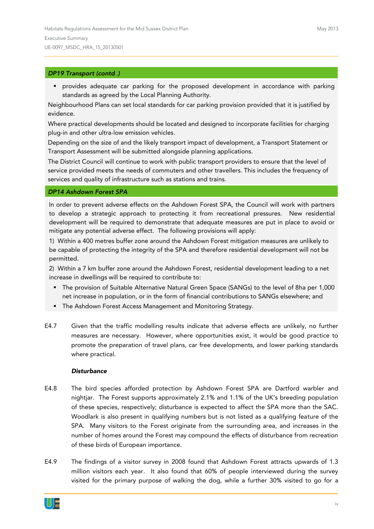### *DP19 Transport (contd…)*

 provides adequate car parking for the proposed development in accordance with parking standards as agreed by the Local Planning Authority.

Neighbourhood Plans can set local standards for car parking provision provided that it is justified by evidence.

Where practical developments should be located and designed to incorporate facilities for charging plug-in and other ultra-low emission vehicles.

Depending on the size of and the likely transport impact of development, a Transport Statement or Transport Assessment will be submitted alongside planning applications.

The District Council will continue to work with public transport providers to ensure that the level of service provided meets the needs of commuters and other travellers. This includes the frequency of services and quality of infrastructure such as stations and trains.

#### *DP14 Ashdown Forest SPA*

In order to prevent adverse effects on the Ashdown Forest SPA, the Council will work with partners to develop a strategic approach to protecting it from recreational pressures. New residential development will be required to demonstrate that adequate measures are put in place to avoid or mitigate any potential adverse effect. The following provisions will apply:

1) Within a 400 metres buffer zone around the Ashdown Forest mitigation measures are unlikely to be capable of protecting the integrity of the SPA and therefore residential development will not be permitted.

2) Within a 7 km buffer zone around the Ashdown Forest, residential development leading to a net increase in dwellings will be required to contribute to:

- The provision of Suitable Alternative Natural Green Space (SANGs) to the level of 8ha per 1,000 net increase in population, or in the form of financial contributions to SANGs elsewhere; and
- The Ashdown Forest Access Management and Monitoring Strategy.
- E4.7 Given that the traffic modelling results indicate that adverse effects are unlikely, no further measures are necessary. However, where opportunities exist, it would be good practice to promote the preparation of travel plans, car free developments, and lower parking standards where practical.

### *Disturbance*

- E4.8 The bird species afforded protection by Ashdown Forest SPA are Dartford warbler and nightjar. The Forest supports approximately 2.1% and 1.1% of the UK's breeding population of these species, respectively; disturbance is expected to affect the SPA more than the SAC. Woodlark is also present in qualifying numbers but is not listed as a qualifying feature of the SPA. Many visitors to the Forest originate from the surrounding area, and increases in the number of homes around the Forest may compound the effects of disturbance from recreation of these birds of European importance.
- E4.9 The findings of a visitor survey in 2008 found that Ashdown Forest attracts upwards of 1.3 million visitors each year. It also found that 60% of people interviewed during the survey visited for the primary purpose of walking the dog, while a further 30% visited to go for a

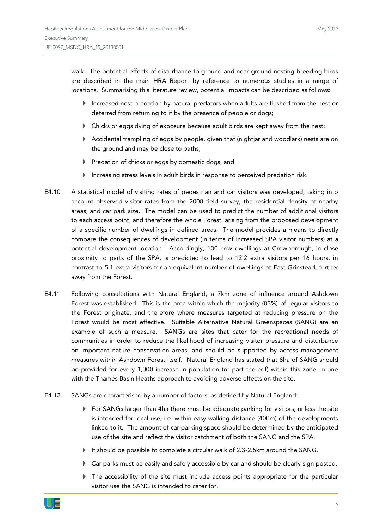walk. The potential effects of disturbance to ground and near-ground nesting breeding birds are described in the main HRA Report by reference to numerous studies in a range of locations. Summarising this literature review, potential impacts can be described as follows:

- Increased nest predation by natural predators when adults are flushed from the nest or deterred from returning to it by the presence of people or dogs;
- Chicks or eggs dying of exposure because adult birds are kept away from the nest;
- Accidental trampling of eggs by people, given that (nightjar and woodlark) nests are on the ground and may be close to paths;
- Predation of chicks or eggs by domestic dogs; and
- Increasing stress levels in adult birds in response to perceived predation risk.
- E4.10 A statistical model of visiting rates of pedestrian and car visitors was developed, taking into account observed visitor rates from the 2008 field survey, the residential density of nearby areas, and car park size. The model can be used to predict the number of additional visitors to each access point, and therefore the whole Forest, arising from the proposed development of a specific number of dwellings in defined areas. The model provides a means to directly compare the consequences of development (in terms of increased SPA visitor numbers) at a potential development location. Accordingly, 100 new dwellings at Crowborough, in close proximity to parts of the SPA, is predicted to lead to 12.2 extra visitors per 16 hours, in contrast to 5.1 extra visitors for an equivalent number of dwellings at East Grinstead, further away from the Forest.
- E4.11 Following consultations with Natural England, a 7km zone of influence around Ashdown Forest was established. This is the area within which the majority (83%) of regular visitors to the Forest originate, and therefore where measures targeted at reducing pressure on the Forest would be most effective. Suitable Alternative Natural Greenspaces (SANG) are an example of such a measure. SANGs are sites that cater for the recreational needs of communities in order to reduce the likelihood of increasing visitor pressure and disturbance on important nature conservation areas, and should be supported by access management measures within Ashdown Forest itself. Natural England has stated that 8ha of SANG should be provided for every 1,000 increase in population (or part thereof) within this zone, in line with the Thames Basin Heaths approach to avoiding adverse effects on the site.
- E4.12 SANGs are characterised by a number of factors, as defined by Natural England:
	- $\blacktriangleright$  For SANGs larger than 4ha there must be adequate parking for visitors, unless the site is intended for local use, i.e. within easy walking distance (400m) of the developments linked to it. The amount of car parking space should be determined by the anticipated use of the site and reflect the visitor catchment of both the SANG and the SPA.
	- It should be possible to complete a circular walk of 2.3-2.5km around the SANG.
	- Car parks must be easily and safely accessible by car and should be clearly sign posted.
	- The accessibility of the site must include access points appropriate for the particular visitor use the SANG is intended to cater for.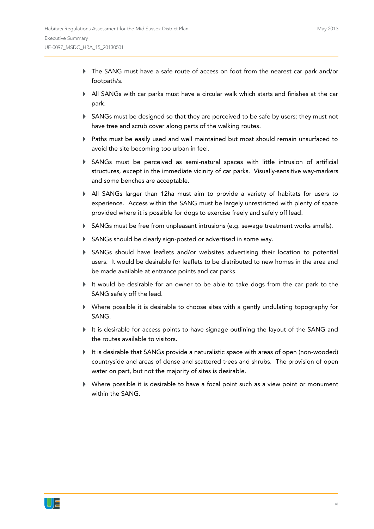- The SANG must have a safe route of access on foot from the nearest car park and/or footpath/s.
- All SANGs with car parks must have a circular walk which starts and finishes at the car park.
- SANGs must be designed so that they are perceived to be safe by users; they must not have tree and scrub cover along parts of the walking routes.
- Paths must be easily used and well maintained but most should remain unsurfaced to avoid the site becoming too urban in feel.
- SANGs must be perceived as semi-natural spaces with little intrusion of artificial structures, except in the immediate vicinity of car parks. Visually-sensitive way-markers and some benches are acceptable.
- All SANGs larger than 12ha must aim to provide a variety of habitats for users to experience. Access within the SANG must be largely unrestricted with plenty of space provided where it is possible for dogs to exercise freely and safely off lead.
- SANGs must be free from unpleasant intrusions (e.g. sewage treatment works smells).
- SANGs should be clearly sign-posted or advertised in some way.
- SANGs should have leaflets and/or websites advertising their location to potential users. It would be desirable for leaflets to be distributed to new homes in the area and be made available at entrance points and car parks.
- It would be desirable for an owner to be able to take dogs from the car park to the SANG safely off the lead.
- Where possible it is desirable to choose sites with a gently undulating topography for SANG.
- $\blacktriangleright$  It is desirable for access points to have signage outlining the layout of the SANG and the routes available to visitors.
- It is desirable that SANGs provide a naturalistic space with areas of open (non-wooded) countryside and areas of dense and scattered trees and shrubs. The provision of open water on part, but not the majority of sites is desirable.
- Where possible it is desirable to have a focal point such as a view point or monument within the SANG.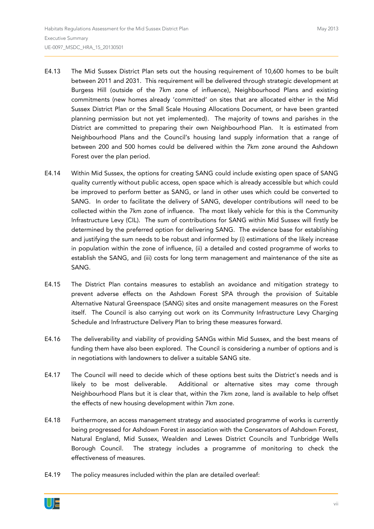- E4.13 The Mid Sussex District Plan sets out the housing requirement of 10,600 homes to be built between 2011 and 2031. This requirement will be delivered through strategic development at Burgess Hill (outside of the 7km zone of influence), Neighbourhood Plans and existing commitments (new homes already 'committed' on sites that are allocated either in the Mid Sussex District Plan or the Small Scale Housing Allocations Document, or have been granted planning permission but not yet implemented). The majority of towns and parishes in the District are committed to preparing their own Neighbourhood Plan. It is estimated from Neighbourhood Plans and the Council's housing land supply information that a range of between 200 and 500 homes could be delivered within the 7km zone around the Ashdown Forest over the plan period.
- E4.14 Within Mid Sussex, the options for creating SANG could include existing open space of SANG quality currently without public access, open space which is already accessible but which could be improved to perform better as SANG, or land in other uses which could be converted to SANG. In order to facilitate the delivery of SANG, developer contributions will need to be collected within the 7km zone of influence. The most likely vehicle for this is the Community Infrastructure Levy (CIL). The sum of contributions for SANG within Mid Sussex will firstly be determined by the preferred option for delivering SANG. The evidence base for establishing and justifying the sum needs to be robust and informed by (i) estimations of the likely increase in population within the zone of influence, (ii) a detailed and costed programme of works to establish the SANG, and (iii) costs for long term management and maintenance of the site as SANG.
- E4.15 The District Plan contains measures to establish an avoidance and mitigation strategy to prevent adverse effects on the Ashdown Forest SPA through the provision of Suitable Alternative Natural Greenspace (SANG) sites and onsite management measures on the Forest itself. The Council is also carrying out work on its Community Infrastructure Levy Charging Schedule and Infrastructure Delivery Plan to bring these measures forward.
- E4.16 The deliverability and viability of providing SANGs within Mid Sussex, and the best means of funding them have also been explored. The Council is considering a number of options and is in negotiations with landowners to deliver a suitable SANG site.
- E4.17 The Council will need to decide which of these options best suits the District's needs and is likely to be most deliverable. Additional or alternative sites may come through Neighbourhood Plans but it is clear that, within the 7km zone, land is available to help offset the effects of new housing development within 7km zone.
- E4.18 Furthermore, an access management strategy and associated programme of works is currently being progressed for Ashdown Forest in association with the Conservators of Ashdown Forest, Natural England, Mid Sussex, Wealden and Lewes District Councils and Tunbridge Wells Borough Council. The strategy includes a programme of monitoring to check the effectiveness of measures.
- E4.19 The policy measures included within the plan are detailed overleaf: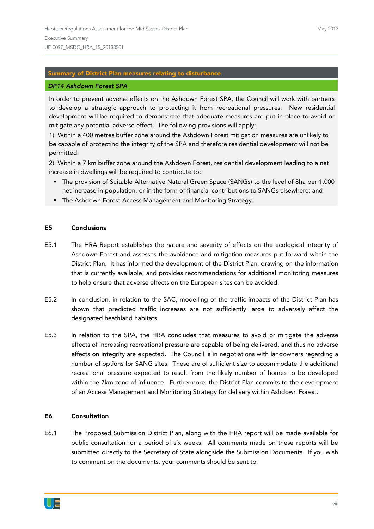## **Summary of District Plan measures relating to disturbance**

#### *DP14 Ashdown Forest SPA*

In order to prevent adverse effects on the Ashdown Forest SPA, the Council will work with partners to develop a strategic approach to protecting it from recreational pressures. New residential development will be required to demonstrate that adequate measures are put in place to avoid or mitigate any potential adverse effect. The following provisions will apply:

1) Within a 400 metres buffer zone around the Ashdown Forest mitigation measures are unlikely to be capable of protecting the integrity of the SPA and therefore residential development will not be permitted.

2) Within a 7 km buffer zone around the Ashdown Forest, residential development leading to a net increase in dwellings will be required to contribute to:

- The provision of Suitable Alternative Natural Green Space (SANGs) to the level of 8ha per 1,000 net increase in population, or in the form of financial contributions to SANGs elsewhere; and
- **F** The Ashdown Forest Access Management and Monitoring Strategy.

#### **E5 Conclusions**

- E5.1 The HRA Report establishes the nature and severity of effects on the ecological integrity of Ashdown Forest and assesses the avoidance and mitigation measures put forward within the District Plan. It has informed the development of the District Plan, drawing on the information that is currently available, and provides recommendations for additional monitoring measures to help ensure that adverse effects on the European sites can be avoided.
- E5.2 In conclusion, in relation to the SAC, modelling of the traffic impacts of the District Plan has shown that predicted traffic increases are not sufficiently large to adversely affect the designated heathland habitats.
- E5.3 In relation to the SPA, the HRA concludes that measures to avoid or mitigate the adverse effects of increasing recreational pressure are capable of being delivered, and thus no adverse effects on integrity are expected. The Council is in negotiations with landowners regarding a number of options for SANG sites. These are of sufficient size to accommodate the additional recreational pressure expected to result from the likely number of homes to be developed within the 7km zone of influence. Furthermore, the District Plan commits to the development of an Access Management and Monitoring Strategy for delivery within Ashdown Forest.

#### **E6 Consultation**

E6.1 The Proposed Submission District Plan, along with the HRA report will be made available for public consultation for a period of six weeks. All comments made on these reports will be submitted directly to the Secretary of State alongside the Submission Documents. If you wish to comment on the documents, your comments should be sent to:

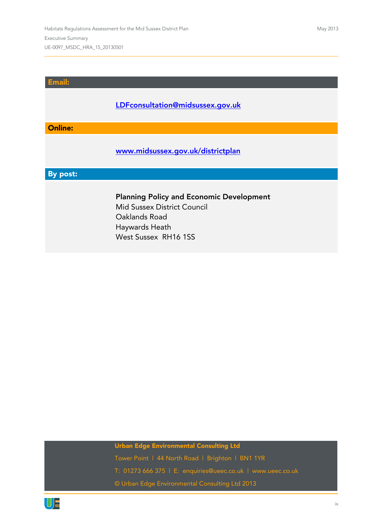# **Email:**

# **[LDFconsultation@midsussex.gov.uk](mailto:LDFconsultation@midsussex.gov.uk)**

# **Online:**

# **[www.midsussex.gov.uk/districtplan](http://www.midsussex.gov.uk/districtplan)**

# **By post:**

# **Planning Policy and Economic Development**

Mid Sussex District Council Oaklands Road Haywards Heath West Sussex RH16 1SS

# **Urban Edge Environmental Consulting Ltd**

Tower Point | 44 North Road | Brighton | BN1 1YR T: 01273 666 375 | E: [enquiries@ueec.co.uk](mailto:enquiries@ueec.co.uk) | [www.ueec.co.uk](http://www.ueec.co.uk/) © Urban Edge Environmental Consulting Ltd 2013